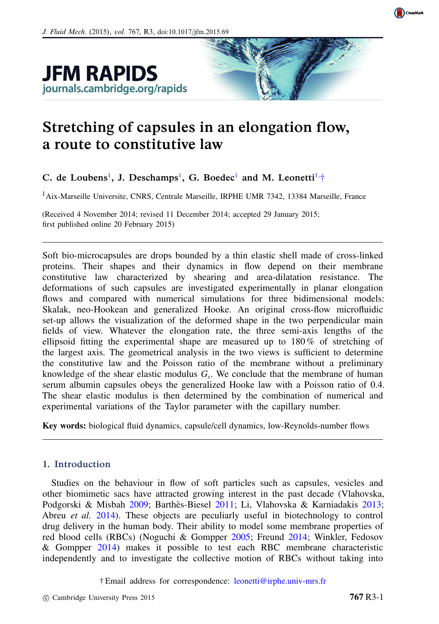





# Stretching of capsules in an elongation flow, a route to constitutive law

# C. de Loubens<sup>[1](#page-0-0)</sup>, J. Deschamps<sup>1</sup>, G. Boedec<sup>1</sup> and M. Leonetti<sup>[1,](#page-0-0)[†](#page-0-1)</sup>

<span id="page-0-0"></span><sup>1</sup> Aix-Marseille Universite, CNRS, Centrale Marseille, IRPHE UMR 7342, 13384 Marseille, France

(Received 4 November 2014; revised 11 December 2014; accepted 29 January 2015; first published online 20 February 2015)

Soft bio-microcapsules are drops bounded by a thin elastic shell made of cross-linked proteins. Their shapes and their dynamics in flow depend on their membrane constitutive law characterized by shearing and area-dilatation resistance. The deformations of such capsules are investigated experimentally in planar elongation flows and compared with numerical simulations for three bidimensional models: Skalak, neo-Hookean and generalized Hooke. An original cross-flow microfluidic set-up allows the visualization of the deformed shape in the two perpendicular main fields of view. Whatever the elongation rate, the three semi-axis lengths of the ellipsoid fitting the experimental shape are measured up to  $180\%$  of stretching of the largest axis. The geometrical analysis in the two views is sufficient to determine the constitutive law and the Poisson ratio of the membrane without a preliminary knowledge of the shear elastic modulus  $G_s$ . We conclude that the membrane of human serum albumin capsules obeys the generalized Hooke law with a Poisson ratio of 0.4. The shear elastic modulus is then determined by the combination of numerical and experimental variations of the Taylor parameter with the capillary number.

Key words: biological fluid dynamics, capsule/cell dynamics, low-Reynolds-number flows

## 1. Introduction

Studies on the behaviour in flow of soft particles such as capsules, vesicles and other biomimetic sacs have attracted growing interest in the past decade (Vlahovska, Podgorski & Misbah 2009; Barthès-Biesel 2011; Li, Vlahovska & Karniadakis 2013; Abreu *et al.* 2014). These objects are peculiarly useful in biotechnology to control drug delivery in the human body. Their ability to model some membrane properties of red blood cells (RBCs) (Noguchi & Gompper 2005; Freund 2014; Winkler, Fedosov & Gompper 2014) makes it possible to test each RBC membrane characteristic independently and to investigate the collective motion of RBCs without taking into

<span id="page-0-1"></span>† Email address for correspondence: [leonetti@irphe.univ-mrs.fr](mailto:leonetti@irphe.univ-mrs.fr)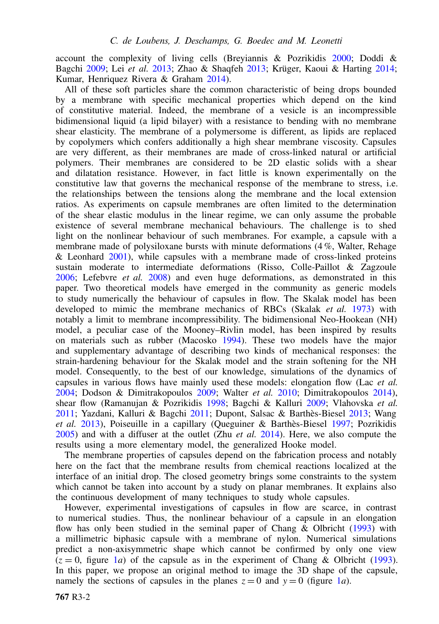account the complexity of living cells (Breyiannis & Pozrikidis 2000; Doddi & Bagchi 2009; Lei *et al.* 2013; Zhao & Shaqfeh 2013; Krüger, Kaoui & Harting 2014; Kumar, Henriquez Rivera & Graham 2014).

All of these soft particles share the common characteristic of being drops bounded by a membrane with specific mechanical properties which depend on the kind of constitutive material. Indeed, the membrane of a vesicle is an incompressible bidimensional liquid (a lipid bilayer) with a resistance to bending with no membrane shear elasticity. The membrane of a polymersome is different, as lipids are replaced by copolymers which confers additionally a high shear membrane viscosity. Capsules are very different, as their membranes are made of cross-linked natural or artificial polymers. Their membranes are considered to be 2D elastic solids with a shear and dilatation resistance. However, in fact little is known experimentally on the constitutive law that governs the mechanical response of the membrane to stress, i.e. the relationships between the tensions along the membrane and the local extension ratios. As experiments on capsule membranes are often limited to the determination of the shear elastic modulus in the linear regime, we can only assume the probable existence of several membrane mechanical behaviours. The challenge is to shed light on the nonlinear behaviour of such membranes. For example, a capsule with a membrane made of polysiloxane bursts with minute deformations (4 %, Walter, Rehage & Leonhard  $2001$ , while capsules with a membrane made of cross-linked proteins sustain moderate to intermediate deformations (Risso, Colle-Paillot & Zagzoule 2006; Lefebvre *et al.* 2008) and even huge deformations, as demonstrated in this paper. Two theoretical models have emerged in the community as generic models to study numerically the behaviour of capsules in flow. The Skalak model has been developed to mimic the membrane mechanics of RBCs (Skalak *et al.* 1973) with notably a limit to membrane incompressibility. The bidimensional Neo-Hookean (NH) model, a peculiar case of the Mooney–Rivlin model, has been inspired by results on materials such as rubber (Macosko 1994). These two models have the major and supplementary advantage of describing two kinds of mechanical responses: the strain-hardening behaviour for the Skalak model and the strain softening for the NH model. Consequently, to the best of our knowledge, simulations of the dynamics of capsules in various flows have mainly used these models: elongation flow (Lac *et al.* 2004; Dodson & Dimitrakopoulos 2009; Walter *et al.* 2010; Dimitrakopoulos 2014), shear flow (Ramanujan & Pozrikidis 1998; Bagchi & Kalluri 2009; Vlahovska *et al.* 2011; Yazdani, Kalluri & Bagchi 2011; Dupont, Salsac & Barthès-Biesel 2013; Wang *et al.* 2013), Poiseuille in a capillary (Queguiner & Barthès-Biesel 1997; Pozrikidis 2005) and with a diffuser at the outlet (Zhu *et al.* 2014). Here, we also compute the results using a more elementary model, the generalized Hooke model.

The membrane properties of capsules depend on the fabrication process and notably here on the fact that the membrane results from chemical reactions localized at the interface of an initial drop. The closed geometry brings some constraints to the system which cannot be taken into account by a study on planar membranes. It explains also the continuous development of many techniques to study whole capsules.

However, experimental investigations of capsules in flow are scarce, in contrast to numerical studies. Thus, the nonlinear behaviour of a capsule in an elongation flow has only been studied in the seminal paper of Chang & Olbricht (1993) with a millimetric biphasic capsule with a membrane of nylon. Numerical simulations predict a non-axisymmetric shape which cannot be confirmed by only one view  $(z = 0$ , figure 1*a*) of the capsule as in the experiment of Chang & Olbricht (1993). In this paper, we propose an original method to image the 3D shape of the capsule, namely the sections of capsules in the planes  $z = 0$  and  $y = 0$  (figure 1*a*).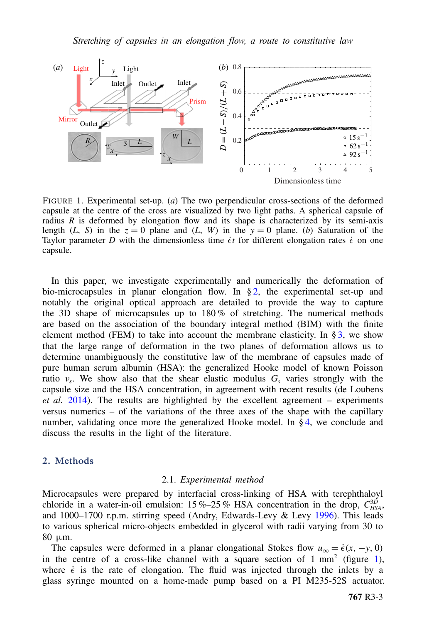

FIGURE 1. Experimental set-up. (*a*) The two perpendicular cross-sections of the deformed capsule at the centre of the cross are visualized by two light paths. A spherical capsule of radius *R* is deformed by elongation flow and its shape is characterized by its semi-axis length (*L*, *S*) in the  $z = 0$  plane and (*L*, *W*) in the  $y = 0$  plane. (*b*) Saturation of the Taylor parameter *D* with the dimensionless time  $\epsilon t$  for different elongation rates  $\epsilon$  on one capsule.

In this paper, we investigate experimentally and numerically the deformation of bio-microcapsules in planar elongation flow. In  $\S 2$ , the experimental set-up and notably the original optical approach are detailed to provide the way to capture the 3D shape of microcapsules up to  $180\%$  of stretching. The numerical methods are based on the association of the boundary integral method (BIM) with the finite element method (FEM) to take into account the membrane elasticity. In  $\S$ [3,](#page-4-0) we show that the large range of deformation in the two planes of deformation allows us to determine unambiguously the constitutive law of the membrane of capsules made of pure human serum albumin (HSA): the generalized Hooke model of known Poisson ratio ν*<sup>s</sup>* . We show also that the shear elastic modulus *G<sup>s</sup>* varies strongly with the capsule size and the HSA concentration, in agreement with recent results (de Loubens *et al.* 2014). The results are highlighted by the excellent agreement – experiments versus numerics – of the variations of the three axes of the shape with the capillary number, validating once more the generalized Hooke model. In § [4,](#page-8-0) we conclude and discuss the results in the light of the literature.

### <span id="page-2-0"></span>2. Methods

#### 2.1. *Experimental method*

Microcapsules were prepared by interfacial cross-linking of HSA with terephthaloyl chloride in a water-in-oil emulsion:  $15\% - 25\%$  HSA concentration in the drop,  $C_{HSA}^{3D}$ , and 1000–1700 r.p.m. stirring speed (Andry, Edwards-Levy & Levy 1996). This leads to various spherical micro-objects embedded in glycerol with radii varying from 30 to 80 µm.

The capsules were deformed in a planar elongational Stokes flow  $u_{\infty} = \dot{\epsilon}(x, -y, 0)$ in the centre of a cross-like channel with a square section of  $1 \text{ mm}^2$  (figure  $1$ ), where  $\dot{\epsilon}$  is the rate of elongation. The fluid was injected through the inlets by a glass syringe mounted on a home-made pump based on a PI M235-52S actuator.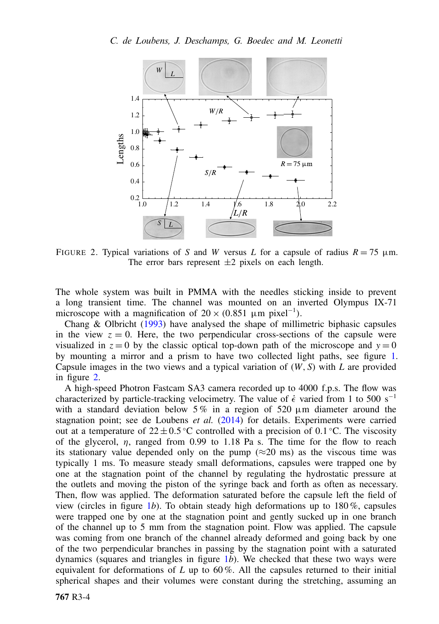

FIGURE 2. Typical variations of *S* and *W* versus *L* for a capsule of radius  $R = 75 \mu m$ . The error bars represent  $\pm 2$  pixels on each length.

The whole system was built in PMMA with the needles sticking inside to prevent a long transient time. The channel was mounted on an inverted Olympus IX-71 microscope with a magnification of  $20 \times (0.851 \mu m)$  pixel<sup>-1</sup>).

Chang & Olbricht (1993) have analysed the shape of millimetric biphasic capsules in the view  $z = 0$ . Here, the two perpendicular cross-sections of the capsule were visualized in  $z = 0$  by the classic optical top-down path of the microscope and  $y = 0$ by mounting a mirror and a prism to have two collected light paths, see figure 1. Capsule images in the two views and a typical variation of (*W*, *S*) with *L* are provided in figure 2.

A high-speed Photron Fastcam SA3 camera recorded up to 4000 f.p.s. The flow was characterized by particle-tracking velocimetry. The value of  $\dot{\epsilon}$  varied from 1 to 500 s<sup>-1</sup> with a standard deviation below  $5\%$  in a region of  $520 \mu m$  diameter around the stagnation point; see de Loubens *et al.* (2014) for details. Experiments were carried out at a temperature of  $22 \pm 0.5^{\circ}$ C controlled with a precision of 0.1 °C. The viscosity of the glycerol,  $\eta$ , ranged from 0.99 to 1.18 Pa s. The time for the flow to reach its stationary value depended only on the pump ( $\approx$ 20 ms) as the viscous time was typically 1 ms. To measure steady small deformations, capsules were trapped one by one at the stagnation point of the channel by regulating the hydrostatic pressure at the outlets and moving the piston of the syringe back and forth as often as necessary. Then, flow was applied. The deformation saturated before the capsule left the field of view (circles in figure 1*b*). To obtain steady high deformations up to  $180\%$ , capsules were trapped one by one at the stagnation point and gently sucked up in one branch of the channel up to 5 mm from the stagnation point. Flow was applied. The capsule was coming from one branch of the channel already deformed and going back by one of the two perpendicular branches in passing by the stagnation point with a saturated dynamics (squares and triangles in figure 1*b*). We checked that these two ways were equivalent for deformations of *L* up to 60 %. All the capsules returned to their initial spherical shapes and their volumes were constant during the stretching, assuming an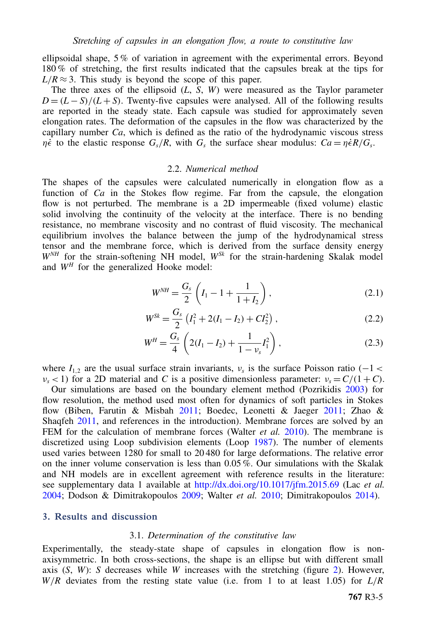ellipsoidal shape, 5 % of variation in agreement with the experimental errors. Beyond 180 % of stretching, the first results indicated that the capsules break at the tips for  $L/R \approx 3$ . This study is beyond the scope of this paper.

The three axes of the ellipsoid (*L*, *S*, *W*) were measured as the Taylor parameter  $D = (L - S)/(L + S)$ . Twenty-five capsules were analysed. All of the following results are reported in the steady state. Each capsule was studied for approximately seven elongation rates. The deformation of the capsules in the flow was characterized by the capillary number *Ca*, which is defined as the ratio of the hydrodynamic viscous stress *n*<sup> $\dot{\epsilon}$  to the elastic response  $G_s/R$ , with  $G_s$  the surface shear modulus:  $Ca = \eta \dot{\epsilon}R/G_s$ .</sup>

#### 2.2. *Numerical method*

The shapes of the capsules were calculated numerically in elongation flow as a function of *Ca* in the Stokes flow regime. Far from the capsule, the elongation flow is not perturbed. The membrane is a 2D impermeable (fixed volume) elastic solid involving the continuity of the velocity at the interface. There is no bending resistance, no membrane viscosity and no contrast of fluid viscosity. The mechanical equilibrium involves the balance between the jump of the hydrodynamical stress tensor and the membrane force, which is derived from the surface density energy *WNH* for the strain-softening NH model, *WSk* for the strain-hardening Skalak model and  $W<sup>H</sup>$  for the generalized Hooke model:

<span id="page-4-1"></span>
$$
W^{NH} = \frac{G_s}{2} \left( I_1 - 1 + \frac{1}{1 + I_2} \right),
$$
\n(2.1)

$$
W^{Sk} = \frac{G_s}{2} \left( I_1^2 + 2(I_1 - I_2) + C I_2^2 \right), \tag{2.2}
$$

$$
W^H = \frac{G_s}{4} \left( 2(I_1 - I_2) + \frac{1}{1 - \nu_s} I_1^2 \right),
$$
 (2.3)

where  $I_{1,2}$  are the usual surface strain invariants,  $v_s$  is the surface Poisson ratio (−1 <  $\nu_s$  < 1) for a 2D material and *C* is a positive dimensionless parameter:  $\nu_s = C/(1 + C)$ .

Our simulations are based on the boundary element method (Pozrikidis 2003) for flow resolution, the method used most often for dynamics of soft particles in Stokes flow (Biben, Farutin & Misbah 2011; Boedec, Leonetti & Jaeger 2011; Zhao & Shaqfeh 2011, and references in the introduction). Membrane forces are solved by an FEM for the calculation of membrane forces (Walter *et al.* 2010). The membrane is discretized using Loop subdivision elements (Loop 1987). The number of elements used varies between 1280 for small to 20 480 for large deformations. The relative error on the inner volume conservation is less than 0.05 %. Our simulations with the Skalak and NH models are in excellent agreement with reference results in the literature: see supplementary data 1 available at <http://dx.doi.org/10.1017/jfm.2015.69> (Lac *et al.* 2004; Dodson & Dimitrakopoulos 2009; Walter *et al.* 2010; Dimitrakopoulos 2014).

#### <span id="page-4-0"></span>3. Results and discussion

#### 3.1. *Determination of the constitutive law*

Experimentally, the steady-state shape of capsules in elongation flow is nonaxisymmetric. In both cross-sections, the shape is an ellipse but with different small axis  $(S, W)$ : *S* decreases while *W* increases with the stretching (figure 2). However, *W*/*R* deviates from the resting state value (i.e. from 1 to at least 1.05) for *L*/*R*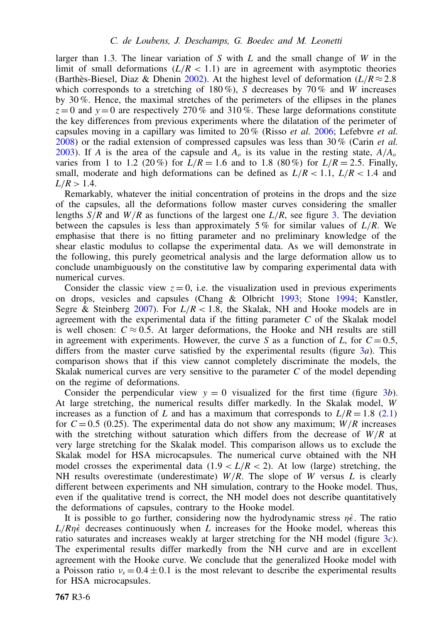larger than 1.3. The linear variation of *S* with *L* and the small change of *W* in the limit of small deformations  $(L/R < 1.1)$  are in agreement with asymptotic theories (Barthès-Biesel, Diaz & Dhenin 2002). At the highest level of deformation  $(L/R \approx 2.8$ which corresponds to a stretching of 180%), *S* decreases by 70% and *W* increases by 30 %. Hence, the maximal stretches of the perimeters of the ellipses in the planes  $z=0$  and  $y=0$  are respectively 270% and 310%. These large deformations constitute the key differences from previous experiments where the dilatation of the perimeter of capsules moving in a capillary was limited to 20 % (Risso *et al.* 2006; Lefebvre *et al.* 2008) or the radial extension of compressed capsules was less than 30 % (Carin *et al.* 2003). If *A* is the area of the capsule and  $A<sub>o</sub>$  is its value in the resting state,  $A/A<sub>o</sub>$ varies from 1 to 1.2 (20%) for  $\bar{L}/R = 1.6$  and to 1.8 (80%) for  $\bar{L}/R = 2.5$ . Finally, small, moderate and high deformations can be defined as  $L/R < 1.1$ ,  $L/R < 1.4$  and  $L/R > 1.4$ .

Remarkably, whatever the initial concentration of proteins in the drops and the size of the capsules, all the deformations follow master curves considering the smaller lengths *S*/*R* and *W*/*R* as functions of the largest one *L*/*R*, see figure 3. The deviation between the capsules is less than approximately 5 % for similar values of *L*/*R*. We emphasise that there is no fitting parameter and no preliminary knowledge of the shear elastic modulus to collapse the experimental data. As we will demonstrate in the following, this purely geometrical analysis and the large deformation allow us to conclude unambiguously on the constitutive law by comparing experimental data with numerical curves.

Consider the classic view  $z = 0$ , i.e. the visualization used in previous experiments on drops, vesicles and capsules (Chang & Olbricht 1993; Stone 1994; Kanstler, Segre & Steinberg 2007). For  $L/R < 1.8$ , the Skalak, NH and Hooke models are in agreement with the experimental data if the fitting parameter *C* of the Skalak model is well chosen:  $C \approx 0.5$ . At larger deformations, the Hooke and NH results are still in agreement with experiments. However, the curve *S* as a function of *L*, for  $C = 0.5$ , differs from the master curve satisfied by the experimental results (figure 3*a*). This comparison shows that if this view cannot completely discriminate the models, the Skalak numerical curves are very sensitive to the parameter *C* of the model depending on the regime of deformations.

Consider the perpendicular view  $y = 0$  visualized for the first time (figure 3*b*). At large stretching, the numerical results differ markedly. In the Skalak model, *W* increases as a function of *L* and has a maximum that corresponds to  $L/R = 1.8$  [\(2.1\)](#page-4-1) for  $C = 0.5$  (0.25). The experimental data do not show any maximum;  $W/R$  increases with the stretching without saturation which differs from the decrease of *W*/*R* at very large stretching for the Skalak model. This comparison allows us to exclude the Skalak model for HSA microcapsules. The numerical curve obtained with the NH model crosses the experimental data  $(1.9 < L/R < 2)$ . At low (large) stretching, the NH results overestimate (underestimate)  $W/R$ . The slope of *W* versus *L* is clearly different between experiments and NH simulation, contrary to the Hooke model. Thus, even if the qualitative trend is correct, the NH model does not describe quantitatively the deformations of capsules, contrary to the Hooke model.

It is possible to go further, considering now the hydrodynamic stress  $\eta \dot{\epsilon}$ . The ratio  $L/Rn\dot{\epsilon}$  decreases continuously when *L* increases for the Hooke model, whereas this ratio saturates and increases weakly at larger stretching for the NH model (figure 3*c*). The experimental results differ markedly from the NH curve and are in excellent agreement with the Hooke curve. We conclude that the generalized Hooke model with a Poisson ratio  $v_s = 0.4 \pm 0.1$  is the most relevant to describe the experimental results for HSA microcapsules.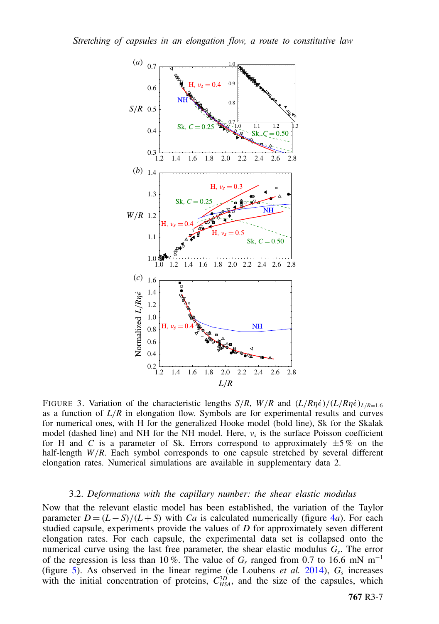

FIGURE 3. Variation of the characteristic lengths  $S/R$ ,  $W/R$  and  $(L/R\eta\dot{\epsilon})/(L/R\eta\dot{\epsilon})_{L/R=1.6}$ as a function of  $L/R$  in elongation flow. Symbols are for experimental results and curves for numerical ones, with H for the generalized Hooke model (bold line), Sk for the Skalak model (dashed line) and NH for the NH model. Here, ν*<sup>s</sup>* is the surface Poisson coefficient for H and *C* is a parameter of Sk. Errors correspond to approximately  $\pm 5\%$  on the half-length *W*/*R*. Each symbol corresponds to one capsule stretched by several different elongation rates. Numerical simulations are available in supplementary data 2.

#### 3.2. *Deformations with the capillary number: the shear elastic modulus*

Now that the relevant elastic model has been established, the variation of the Taylor parameter  $D = (L - S)/(L + S)$  with *Ca* is calculated numerically (figure 4*a*). For each studied capsule, experiments provide the values of *D* for approximately seven different elongation rates. For each capsule, the experimental data set is collapsed onto the numerical curve using the last free parameter, the shear elastic modulus *G<sup>s</sup>* . The error of the regression is less than 10%. The value of  $G<sub>s</sub>$  ranged from 0.7 to 16.6 mN m<sup>-1</sup> (figure 5). As observed in the linear regime (de Loubens *et al.* 2014),  $G_s$  increases with the initial concentration of proteins,  $C_{HSA}^{3D}$ , and the size of the capsules, which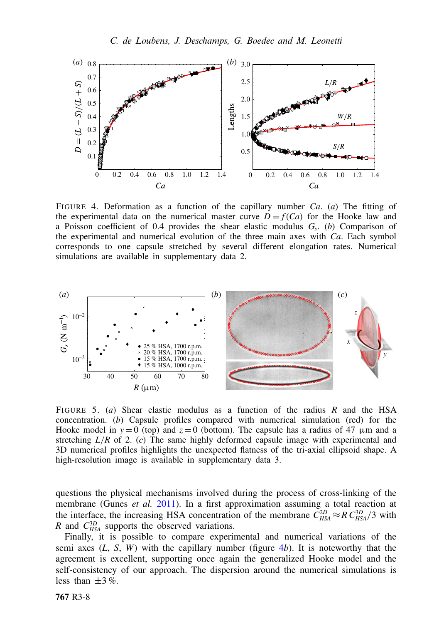

FIGURE 4. Deformation as a function of the capillary number *Ca*. (*a*) The fitting of the experimental data on the numerical master curve  $D = f(Ca)$  for the Hooke law and a Poisson coefficient of 0.4 provides the shear elastic modulus *G<sup>s</sup>* . (*b*) Comparison of the experimental and numerical evolution of the three main axes with *Ca*. Each symbol corresponds to one capsule stretched by several different elongation rates. Numerical simulations are available in supplementary data 2.



FIGURE 5. (*a*) Shear elastic modulus as a function of the radius *R* and the HSA concentration. (*b*) Capsule profiles compared with numerical simulation (red) for the Hooke model in  $y = 0$  (top) and  $z = 0$  (bottom). The capsule has a radius of 47  $\mu$ m and a stretching *L*/*R* of 2. (*c*) The same highly deformed capsule image with experimental and 3D numerical profiles highlights the unexpected flatness of the tri-axial ellipsoid shape. A high-resolution image is available in supplementary data 3.

questions the physical mechanisms involved during the process of cross-linking of the membrane (Gunes *et al.* 2011). In a first approximation assuming a total reaction at the interface, the increasing HSA concentration of the membrane  $C_{HSA}^{2D} \approx R C_{HSA}^{3D}/3$  with *R* and  $C_{HSA}^{3D}$  supports the observed variations.

Finally, it is possible to compare experimental and numerical variations of the semi axes  $(L, S, W)$  with the capillary number (figure  $4b$ ). It is noteworthy that the agreement is excellent, supporting once again the generalized Hooke model and the self-consistency of our approach. The dispersion around the numerical simulations is less than  $\pm 3\%$ .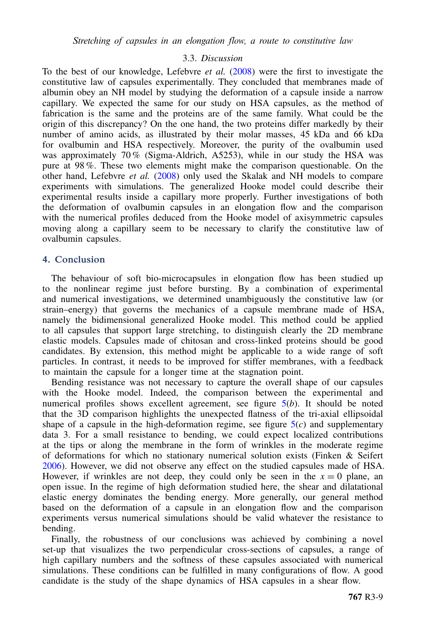#### 3.3. *Discussion*

To the best of our knowledge, Lefebvre *et al.* (2008) were the first to investigate the constitutive law of capsules experimentally. They concluded that membranes made of albumin obey an NH model by studying the deformation of a capsule inside a narrow capillary. We expected the same for our study on HSA capsules, as the method of fabrication is the same and the proteins are of the same family. What could be the origin of this discrepancy? On the one hand, the two proteins differ markedly by their number of amino acids, as illustrated by their molar masses, 45 kDa and 66 kDa for ovalbumin and HSA respectively. Moreover, the purity of the ovalbumin used was approximately 70 % (Sigma-Aldrich, A5253), while in our study the HSA was pure at 98 %. These two elements might make the comparison questionable. On the other hand, Lefebvre *et al.* (2008) only used the Skalak and NH models to compare experiments with simulations. The generalized Hooke model could describe their experimental results inside a capillary more properly. Further investigations of both the deformation of ovalbumin capsules in an elongation flow and the comparison with the numerical profiles deduced from the Hooke model of axisymmetric capsules moving along a capillary seem to be necessary to clarify the constitutive law of ovalbumin capsules.

#### <span id="page-8-0"></span>4. Conclusion

The behaviour of soft bio-microcapsules in elongation flow has been studied up to the nonlinear regime just before bursting. By a combination of experimental and numerical investigations, we determined unambiguously the constitutive law (or strain–energy) that governs the mechanics of a capsule membrane made of HSA, namely the bidimensional generalized Hooke model. This method could be applied to all capsules that support large stretching, to distinguish clearly the 2D membrane elastic models. Capsules made of chitosan and cross-linked proteins should be good candidates. By extension, this method might be applicable to a wide range of soft particles. In contrast, it needs to be improved for stiffer membranes, with a feedback to maintain the capsule for a longer time at the stagnation point.

Bending resistance was not necessary to capture the overall shape of our capsules with the Hooke model. Indeed, the comparison between the experimental and numerical profiles shows excellent agreement, see figure 5(*b*). It should be noted that the 3D comparison highlights the unexpected flatness of the tri-axial ellipsoidal shape of a capsule in the high-deformation regime, see figure  $5(c)$  and supplementary data 3. For a small resistance to bending, we could expect localized contributions at the tips or along the membrane in the form of wrinkles in the moderate regime of deformations for which no stationary numerical solution exists (Finken & Seifert 2006). However, we did not observe any effect on the studied capsules made of HSA. However, if wrinkles are not deep, they could only be seen in the  $x = 0$  plane, an open issue. In the regime of high deformation studied here, the shear and dilatational elastic energy dominates the bending energy. More generally, our general method based on the deformation of a capsule in an elongation flow and the comparison experiments versus numerical simulations should be valid whatever the resistance to bending.

Finally, the robustness of our conclusions was achieved by combining a novel set-up that visualizes the two perpendicular cross-sections of capsules, a range of high capillary numbers and the softness of these capsules associated with numerical simulations. These conditions can be fulfilled in many configurations of flow. A good candidate is the study of the shape dynamics of HSA capsules in a shear flow.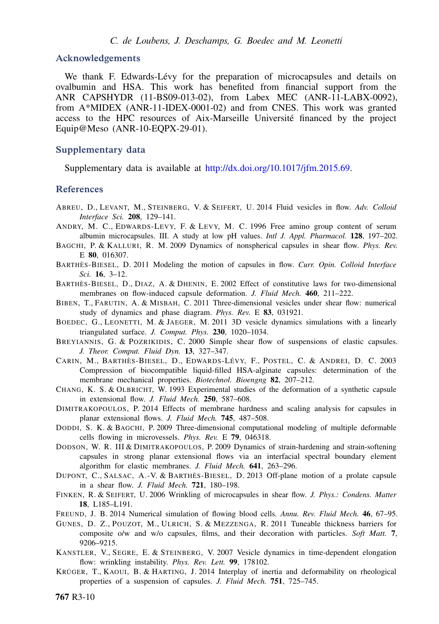#### Acknowledgements

We thank F. Edwards-Lévy for the preparation of microcapsules and details on ovalbumin and HSA. This work has benefited from financial support from the ANR CAPSHYDR (11-BS09-013-02), from Labex MEC (ANR-11-LABX-0092), from A\*MIDEX (ANR-11-IDEX-0001-02) and from CNES. This work was granted access to the HPC resources of Aix-Marseille Université financed by the project Equip@Meso (ANR-10-EQPX-29-01).

#### Supplementary data

Supplementary data is available at [http://dx.doi.org/10.1017/jfm.2015.69.](http://dx.doi.org/10.1017/jfm.2015.69)

#### References

- ABREU, D., LEVANT, M., STEINBERG, V. & SEIFERT, U. 2014 Fluid vesicles in flow. *Adv. Colloid Interface Sci.* 208, 129–141.
- ANDRY, M. C., EDWARDS-LEVY, F. & LEVY, M. C. 1996 Free amino group content of serum albumin microcapsules. III. A study at low pH values. *Intl J. Appl. Pharmacol.* 128, 197–202.
- BAGCHI, P. & KALLURI, R. M. 2009 Dynamics of nonspherical capsules in shear flow. *Phys. Rev.* E 80, 016307.
- BARTHÈS-BIESEL, D. 2011 Modeling the motion of capsules in flow. *Curr. Opin. Colloid Interface Sci.* 16, 3–12.
- BARTHÈS-BIESEL, D., DIAZ, A. & DHENIN, E. 2002 Effect of constitutive laws for two-dimensional membranes on flow-induced capsule deformation. *J. Fluid Mech.* 460, 211–222.
- BIBEN, T., FARUTIN, A. & MISBAH, C. 2011 Three-dimensional vesicles under shear flow: numerical study of dynamics and phase diagram. *Phys. Rev.* E 83, 031921.
- BOEDEC, G., LEONETTI, M. & JAEGER, M. 2011 3D vesicle dynamics simulations with a linearly triangulated surface. *J. Comput. Phys.* 230, 1020–1034.
- BREYIANNIS, G. & POZRIKIDIS, C. 2000 Simple shear flow of suspensions of elastic capsules. *J. Theor. Comput. Fluid Dyn.* 13, 327–347.
- CARIN, M., BARTHÈS-BIESEL, D., EDWARDS-LÉVY, F., POSTEL, C. & ANDREI, D. C. 2003 Compression of biocompatible liquid-filled HSA-alginate capsules: determination of the membrane mechanical properties. *Biotechnol. Bioengng* 82, 207–212.
- CHANG, K. S. & OLBRICHT, W. 1993 Experimental studies of the deformation of a synthetic capsule in extensional flow. *J. Fluid Mech.* 250, 587–608.
- DIMITRAKOPOULOS, P. 2014 Effects of membrane hardness and scaling analysis for capsules in planar extensional flows. *J. Fluid Mech.* 745, 487–508.
- DODDI, S. K. & BAGCHI, P. 2009 Three-dimensional computational modeling of multiple deformable cells flowing in microvessels. *Phys. Rev.* E 79, 046318.
- DODSON, W. R. III & DIMITRAKOPOULOS, P. 2009 Dynamics of strain-hardening and strain-softening capsules in strong planar extensional flows via an interfacial spectral boundary element algorithm for elastic membranes. *J. Fluid Mech.* 641, 263–296.
- DUPONT, C., SALSAC, A.-V. & BARTHÈS-BIESEL, D. 2013 Off-plane motion of a prolate capsule in a shear flow. *J. Fluid Mech.* 721, 180–198.
- FINKEN, R. & SEIFERT, U. 2006 Wrinkling of microcapsules in shear flow. *J. Phys.: Condens. Matter* 18, L185–L191.
- FREUND, J. B. 2014 Numerical simulation of flowing blood cells. *Annu. Rev. Fluid Mech.* 46, 67–95.
- GUNES, D. Z., POUZOT, M., ULRICH, S. & MEZZENGA, R. 2011 Tuneable thickness barriers for composite o/w and w/o capsules, films, and their decoration with particles. *Soft Matt.* 7, 9206–9215.
- KANSTLER, V., SEGRE, E. & STEINBERG, V. 2007 Vesicle dynamics in time-dependent elongation flow: wrinkling instability. *Phys. Rev. Lett.* 99, 178102.
- KRÜGER, T., KAOUI, B. & HARTING, J. 2014 Interplay of inertia and deformability on rheological properties of a suspension of capsules. *J. Fluid Mech.* 751, 725–745.